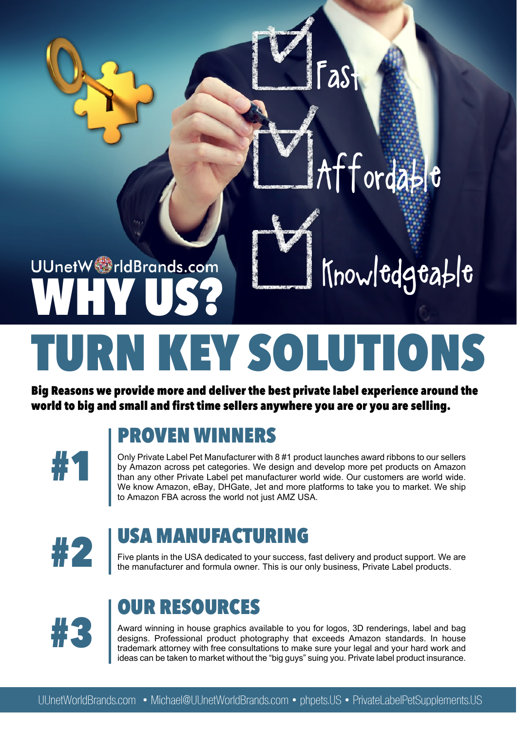# UUnetW rldBrands.com **WHY US?**

**TURN KEY SOLUTIONS**

**Big Reasons we provide more and deliver the best private label experience around the world to big and small and first time sellers anywhere you are or you are selling.**



#### **PROVEN WINNERS**

**#1** Only Private Label Pet Manufacturer with 8 #1 product launches award ribbons to our sellers by Amazon across pet categories. We design and develop more pet products on Amazon than any other Private Label pet manufacturer world wide. Our customers are world wide. We know Amazon, eBay, DHGate, Jet and more platforms to take you to market. We ship to Amazon FBA across the world not just AMZ USA.

Fast

Affordable

Knowledgeable



#### **USA MANUFACTURING**

**#2** Five plants in the USA dedicated to your success, fast delivery and product support. We are the manufacturer and formula owner. This is our only business, Private Label products.



#### **OUR RESOURCES**

**#3** Award winning in house graphics available to you for logos, 3D renderings, label and bag designs. Professional product photography that exceeds Amazon standards. In house trademark attorney with free consultations to make sure your legal and your hard work and ideas can be taken to market without the "big guys" suing you. Private label product insurance.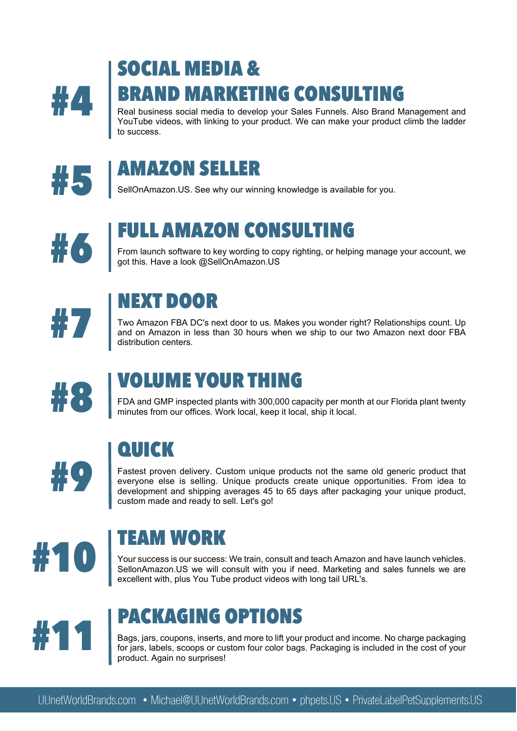

# **SOCIAL MEDIA &**

**#44 Real business social media to develop your Sales Funnels. Also Brand Management and YouTube videos, with linking to your product. We can make your product climb the ladder** YouTube videos, with linking to your product. We can make your product climb the ladder to success.





**#5** SellOnAmazon.US. See why our winning knowledge is available for you.



### **FULL AMAZON CONSULTING**

**#6** From launch software to key wording to copy righting, or helping manage your account, we got this. Have a look @SellOnAmazon.US



#### **NEXT DOOR**

**#77 Two Amazon FBA DC's next door to us. Makes you wonder right? Relationships count. Up and on Amazon in less than 30 hours when we ship to our two Amazon next door FBA distribution centers.** and on Amazon in less than 30 hours when we ship to our two Amazon next door FBA distribution centers.



## **VOLUME YOUR THING**

**18 FDA and GMP inspected plants with 300,000 capacity per month at our Florida plant twenty<br>minutes from our offices. Work local, keep it local, ship it local.** 

## **QUICK**

**#99 Fastest proven delivery.** Custom unique products not the same old generic product that everyone else is selling. Unique products create unique opportunities. From idea to development and shipping averages 45 to 65 day everyone else is selling. Unique products create unique opportunities. From idea to custom made and ready to sell. Let's go!



### **TEAM WORK**

**100 Your success is our success:** We train, consult and teach Amazon and have launch vehicles.<br>Sellon Amazon.US we will consult with you if need. Marketing and sales funnels we are excellent with. plus You Tube product vi SellonAmazon.US we will consult with you if need. Marketing and sales funnels we are excellent with, plus You Tube product videos with long tail URL's.



### **PACKAGING OPTIONS**

**#11** Bags, jars, coupons, inserts, and more to lift your product and income. No charge packaging<br>for jars, labels, scoops or custom four color bags. Packaging is included in the cost of your<br>product. Again no surprises! for jars, labels, scoops or custom four color bags. Packaging is included in the cost of your product. Again no surprises!